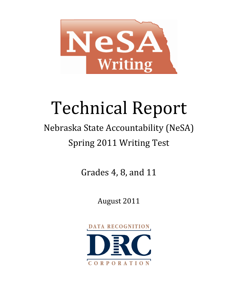

# Technical Report

## Nebraska State Accountability (NeSA) Spring 2011 Writing Test

Grades 4, 8, and 11

August 2011

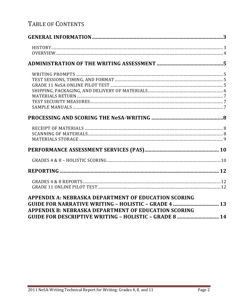## TABLE OF CONTENTS

| APPENDIX A: NEBRASKA DEPARTMENT OF EDUCATION SCORING<br>GUIDE FOR NARRATIVE WRITING - HOLISTIC - GRADE 4  13   |  |
|----------------------------------------------------------------------------------------------------------------|--|
| APPENDIX B: NEBRASKA DEPARTMENT OF EDUCATION SCORING<br>GUIDE FOR DESCRIPTIVE WRITING - HOLISTIC - GRADE 8  14 |  |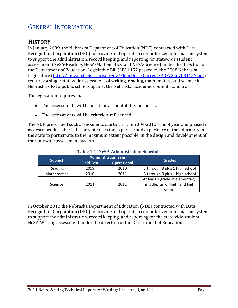## GENERAL INFORMATION

## **HISTORY**

In January 2009, the Nebraska Department of Education (NDE) contracted with Data Recognition Corporation (DRC) to provide and operate a computerized information system to support the administration, record keeping, and reporting for statewide student assessment (NeSA-Reading, NeSA-Mathematics, and NeSA-Science) under the direction of the Department of Education. Legislative Bill (LB) 1157 passed by the 2008 Nebraska Legislature [\(http://uniweb.legislature.ne.gov/FloorDocs/Current/PDF/Slip/LB1157.pdf\)](http://uniweb.legislature.ne.gov/FloorDocs/Current/PDF/Slip/LB1157.pdf) requires a single statewide assessment of writing, reading, mathematics, and science in Nebraska's K-12 public schools against the Nebraska academic content standards.

The legislation requires that:

- The assessments will be used for accountability purposes.
- The assessments will be criterion-referenced.

The NDE prescribed such assessments starting in the 2009-2010 school year and phased in as described in Table 1-1. The state uses the expertise and experience of the educators in the state to participate, to the maximum extent possible, in the design and development of the statewide assessment system.

|                    | <b>Administration Year</b> |                    | <b>Grades</b>                   |  |
|--------------------|----------------------------|--------------------|---------------------------------|--|
| <b>Subject</b>     | <b>Field Test</b>          | <b>Operational</b> |                                 |  |
| Reading            | 2009                       | 2010               | 3 through 8 plus 1 high school  |  |
| <b>Mathematics</b> | 2010                       | 2011               | 3 through 8 plus 1 high school  |  |
|                    |                            |                    | At least 1 grade in elementary, |  |
| Science            | 2011                       | 2012               | middle/junior high, and high    |  |
|                    |                            |                    | school                          |  |

#### **Table 1-1 NeSA Administration Schedule**

In October 2010 the Nebraska Department of Education (NDE) contracted with Data Recognition Corporation (DRC) to provide and operate a computerized information system to support the administration, record keeping, and reporting for the statewide student NeSA-Writing assessment under the direction of the Department of Education.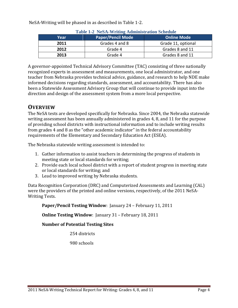NeSA-Writing will be phased in as described in Table 1-2.

| Table 1-2 Twb/1-4711ung Auminibu auon beneuure |                          |                    |  |
|------------------------------------------------|--------------------------|--------------------|--|
| Year                                           | <b>Paper/Pencil Mode</b> | <b>Online Mode</b> |  |
| 2011                                           | Grades 4 and 8           | Grade 11, optional |  |
| 2012                                           | Grade 4                  | Grades 8 and 11    |  |
| 2013                                           | Grade 4                  | Grades 8 and 11    |  |

#### **Table 1-2 NeSA-Writing Administration Schedule**

A governor-appointed Technical Advisory Committee (TAC) consisting of three nationally recognized experts in assessment and measurements, one local administrator, and one teacher from Nebraska provides technical advice, guidance, and research to help NDE make informed decisions regarding standards, assessment, and accountability. There has also been a Statewide Assessment Advisory Group that will continue to provide input into the direction and design of the assessment system from a more local perspective.

## **OVERVIEW**

The NeSA tests are developed specifically for Nebraska. Since 2004, the Nebraska statewide writing assessment has been annually administered in grades 4, 8, and 11 for the purpose of providing school districts with instructional information and to include writing results from grades 4 and 8 as the "other academic indicator" in the federal accountability requirements of the Elementary and Secondary Education Act (ESEA).

The Nebraska statewide writing assessment is intended to:

- 1. Gather information to assist teachers in determining the progress of students in meeting state or local standards for writing;
- 2. Provide each local school district with a report of student progress in meeting state or local standards for writing; and
- 3. Lead to improved writing by Nebraska students.

Data Recognition Corporation (DRC) and Computerized Assessments and Learning (CAL) were the providers of the printed and online versions, respectively, of the 2011 NeSA-Writing Tests.

**Paper/Pencil Testing Window**: January 24 – February 11, 2011

**Online Testing Window: January 31 – February 18, 2011** 

#### **Number of Potential Testing Sites**

254 districts

980 schools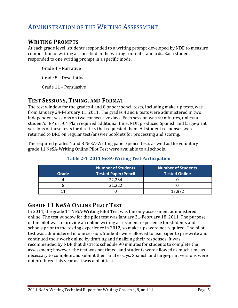## ADMINISTRATION OF THE WRITING ASSESSMENT

#### **WRITING PROMPTS**

At each grade level, students responded to a writing prompt developed by NDE to measure composition of writing as specified in the writing content standards. Each student responded to one writing prompt in a specific mode.

Grade 4 – Narrative

Grade 8 – Descriptive

Grade 11 – Persuasive

#### **TEST SESSIONS, TIMING, AND FORMAT**

The test window for the grades 4 and 8 paper/pencil tests, including make-up tests, was from January 24-February 11, 2011. The grades 4 and 8 tests were administered in two independent sessions on two consecutive days. Each session was 40 minutes, unless a student's IEP or 504 Plan required additional time. NDE produced Spanish and large-print versions of these tests for districts that requested them. All student responses were returned to DRC on regular test/answer booklets for processing and scoring.

The required grades 4 and 8 NeSA-Writing paper/pencil tests as well as the voluntary grade 11 NeSA-Writing Online Pilot Test were available to all schools.

| Grade | <b>Number of Students</b><br><b>Tested Paper/Pencil</b> | <b>Number of Students</b><br><b>Tested Online</b> |
|-------|---------------------------------------------------------|---------------------------------------------------|
|       | 22,234                                                  |                                                   |
|       | 21.222                                                  |                                                   |
|       |                                                         | 13.972                                            |

#### **Table 2-1 2011 NeSA-Writing Test Participation**

#### **GRADE 11 NeSA ONLINE PILOT TEST**

In 2011, the grade 11 NeSA-Writing Pilot Test was the only assessment administered online. The test window for the pilot test was January 31-February 18, 2011. The purpose of the pilot was to provide an online writing assessment experience for students and schools prior to the testing experience in 2012, so make-ups were not required. The pilot test was administered in one session. Students were allowed to use paper to pre-write and continued their work online by drafting and finalizing their responses. It was recommended by NDE that districts schedule 90 minutes for students to complete the assessment; however, the test was not timed, and students were allowed as much time as necessary to complete and submit their final essays. Spanish and large-print versions were not produced this year as it was a pilot test.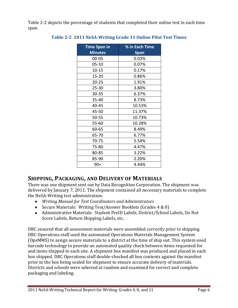Table 2-2 depicts the percentage of students that completed their online test in each time span.

| <b>Time Span in</b><br><b>Minutes</b> | % in Each Time<br><b>Span</b> |  |
|---------------------------------------|-------------------------------|--|
| 00-05                                 | 0.03%                         |  |
| $05 - 10$                             | 0.07%                         |  |
| $10 - 15$                             | 0.17%                         |  |
| $15 - 20$                             | 0.86%                         |  |
| $20 - 25$                             | 1.91%                         |  |
| $25 - 30$                             | 3.80%                         |  |
| 30-35                                 | 6.37%                         |  |
| 35-40                                 | 8.73%                         |  |
| 40-45                                 | 10.53%                        |  |
| 45-50                                 | 11.37%                        |  |
| 50-55                                 | 10.73%                        |  |
| $55 - 60$                             | 10.28%                        |  |
| 60-65                                 | 8.49%                         |  |
| 65-70                                 | 6.77%                         |  |
| 70-75                                 | 5.54%                         |  |
| 75-80                                 | 4.47%                         |  |
| 80-85                                 | 3.22%                         |  |
| 85-90                                 | 2.20%                         |  |
| $90+$                                 | 4.44%                         |  |

#### **Table 2-2 2011 NeSA-Writing Grade 11 Online Pilot Test Times**

#### **SHIPPING, PACKAGING, AND DELIVERY OF MATERIALS**

There was one shipment sent out by Data Recognition Corporation. The shipment was delivered by January 7, 2011. The shipment contained all necessary materials to complete the NeSA-Writing test administration.

- *Writing Manual for Test Coordinators and Administrators*
- Secure Materials: Writing Test/Answer Booklets (Grades 4 & 8)
- Administrative Materials: Student PreID Labels, District/School Labels, Do Not Score Labels, Return Shipping Labels, etc.

DRC ensured that all assessment materials were assembled correctly prior to shipping. DRC Operations staff used the automated Operations Materials Management System (OpsMMS) to assign secure materials to a district at the time of ship out. This system used barcode technology to provide an automated quality check between items requested for and items shipped to each site. A shipment box manifest was produced and placed in each box shipped. DRC Operations staff double-checked all box contents against the manifest prior to the box being sealed for shipment to ensure accurate delivery of materials. Districts and schools were selected at random and examined for correct and complete packaging and labeling.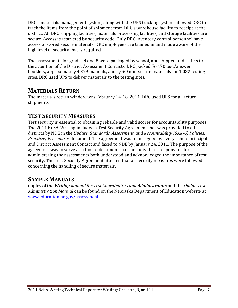DRC's materials management system, along with the UPS tracking system, allowed DRC to track the items from the point of shipment from DRC's warehouse facility to receipt at the district. All DRC shipping facilities, materials processing facilities, and storage facilities are secure. Access is restricted by security code. Only DRC inventory control personnel have access to stored secure materials. DRC employees are trained in and made aware of the high level of security that is required.

The assessments for grades 4 and 8 were packaged by school, and shipped to districts to the attention of the District Assessment Contacts. DRC packed 56,470 test/answer booklets, approximately 4,379 manuals, and 4,060 non-secure materials for 1,082 testing sites. DRC used UPS to deliver materials to the testing sites.

#### **MATERIALS RETURN**

The materials return window was February 14-18, 2011. DRC used UPS for all return shipments.

## **TEST SECURITY MEASURES**

Test security is essential to obtaining reliable and valid scores for accountability purposes. The 2011 NeSA-Writing included a Test Security Agreement that was provided to all districts by NDE in the *Update: Standards, Assessment, and Accountability (SAA-6) Policies, Practices, Procedures* document. The agreement was to be signed by every school principal and District Assessment Contact and faxed to NDE by January 24, 2011. The purpose of the agreement was to serve as a tool to document that the individuals responsible for administering the assessments both understood and acknowledged the importance of test security. The Test Security Agreement attested that all security measures were followed concerning the handling of secure materials.

## **SAMPLE MANUALS**

Copies of the *Writing Manual for Test Coordinators and Administrators* and the *Online Test Administration Manual* can be found on the Nebraska Department of Education website at [www.education.ne.gov/assessment.](http://www.education.ne.gov/assessment)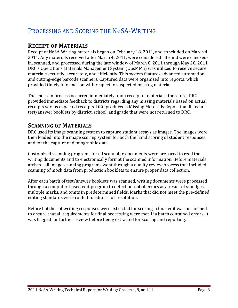## PROCESSING AND SCORING THE NeSA-WRITING

#### **RECEIPT OF MATERIALS**

Receipt of NeSA-Writing materials began on February 18, 2011, and concluded on March 4, 2011. Any materials received after March 4, 2011, were considered late and were checkedin, scanned, and processed during the late window of March 8, 2011 through May 20, 2011. DRC's Operations Materials Management System (OpsMMS) was utilized to receive secure materials securely, accurately, and efficiently. This system features advanced automation and cutting-edge barcode scanners. Captured data were organized into reports, which provided timely information with respect to suspected missing material.

The check-in process occurred immediately upon receipt of materials; therefore, DRC provided immediate feedback to districts regarding any missing materials based on actual receipts versus expected receipts. DRC produced a Missing Materials Report that listed all test/answer booklets by district, school, and grade that were not returned to DRC.

#### **SCANNING OF MATERIALS**

DRC used its image scanning system to capture student essays as images. The images were then loaded into the image scoring system for both the hand scoring of student responses, and for the capture of demographic data.

Customized scanning programs for all scannable documents were prepared to read the writing documents and to electronically format the scanned information. Before materials arrived, all image scanning programs went through a quality review process that included scanning of mock data from production booklets to ensure proper data collection.

After each batch of test/answer booklets was scanned, writing documents were processed through a computer-based edit program to detect potential errors as a result of smudges, multiple marks, and omits in predetermined fields. Marks that did not meet the pre-defined editing standards were routed to editors for resolution.

Before batches of writing responses were extracted for scoring, a final edit was performed to ensure that all requirements for final processing were met. If a batch contained errors, it was flagged for further review before being extracted for scoring and reporting.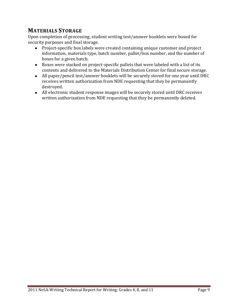## **MATERIALS STORAGE**

Upon completion of processing, student writing test/answer booklets were boxed for security purposes and final storage.

- Project-specific box labels were created containing unique customer and project information, materials type, batch number, pallet/box number, and the number of boxes for a given batch.
- Boxes were stacked on project-specific pallets that were labeled with a list of its contents and delivered to the Materials Distribution Center for final secure storage.
- All paper/pencil test/answer booklets will be securely stored for one year until DRC receives written authorization from NDE requesting that they be permanently destroyed.
- All electronic student response images will be securely stored until DRC receives written authorization from NDE requesting that they be permanently deleted.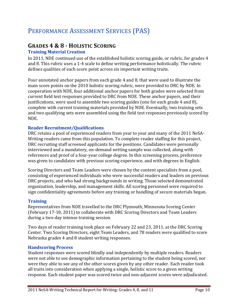## PERFORMANCE ASSESSMENT SERVICES (PAS)

## **GRADES 4 & 8 - HOLISTIC SCORING**

#### **Training Material Creation**

In 2011, NDE continued use of the established holistic scoring guide, or rubric, for grades 4 and 8. This rubric uses a 1-4 scale to define writing performance holistically. The rubric defines qualities of each score point across six important writing traits.

Four annotated anchor papers from each grade 4 and 8, that were used to illustrate the main score points on the 2010 holistic scoring rubric, were provided to DRC by NDE. In cooperation with NDE, four additional anchor papers for both grades were selected from current field test responses provided to DRC from NDE. These anchor papers, and their justifications, were used to assemble two scoring guides (one for each grade 4 and 8), complete with current training materials provided by NDE. Eventually, two training sets and two qualifying sets were assembled using the field test responses previously scored by NDE.

#### **Reader Recruitment/Qualifications**

DRC retains a pool of experienced readers from year to year and many of the 2011 NeSA-Writing readers came from this population. To complete reader staffing for this project, DRC recruiting staff screened applicants for the positions. Candidates were personally interviewed and a mandatory, on-demand writing sample was collected, along with references and proof of a four-year college degree. In this screening process, preference was given to candidates with previous scoring experience, and with degrees in English.

Scoring Directors and Team Leaders were chosen by the content specialists from a pool, consisting of experienced individuals who were successful readers and leaders on previous DRC projects, and who had strong backgrounds in writing. Those selected demonstrated organization, leadership, and management skills. All scoring personnel were required to sign confidentiality agreements before any training or handling of secure materials began.

#### **Training**

Representatives from NDE travelled to the DRC Plymouth, Minnesota Scoring Center (February 17-18, 2011) to collaborate with DRC Scoring Directors and Team Leaders during a two-day intense training session.

Two days of reader training took place on February 22 and 23, 2011, at the DRC Scoring Center. Two Scoring Directors, eight Team Leaders, and 78 readers were qualified to score Nebraska grades 4 and 8 student writing responses.

#### **Handscoring Process**

Student responses were scored blindly and independently by multiple readers. Readers were not able to see demographic information pertaining to the student being scored, nor were they able to see any of the other scores given by any other reader. Each reader took all traits into consideration when applying a single, holistic score to a given writing response. Each student paper was scored twice and non-adjacent scores were adjudicated.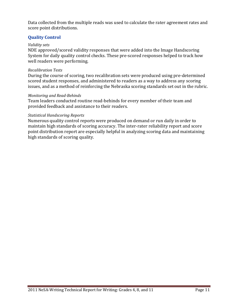Data collected from the multiple reads was used to calculate the rater agreement rates and score point distributions.

#### **Quality Control**

#### *Validity sets*

NDE approved/scored validity responses that were added into the Image Handscoring System for daily quality control checks. These pre-scored responses helped to track how well readers were performing.

#### *Recalibration Tests*

During the course of scoring, two recalibration sets were produced using pre-determined scored student responses, and administered to readers as a way to address any scoring issues, and as a method of reinforcing the Nebraska scoring standards set out in the rubric.

#### *Monitoring and Read-Behinds*

Team leaders conducted routine read-behinds for every member of their team and provided feedback and assistance to their readers.

#### *Statistical Handscoring Reports*

Numerous quality control reports were produced on demand or run daily in order to maintain high standards of scoring accuracy. The inter-rater reliability report and score point distribution report are especially helpful in analyzing scoring data and maintaining high standards of scoring quality.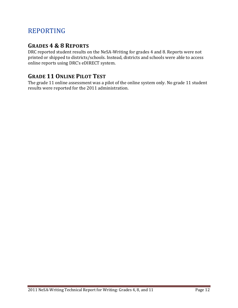## REPORTING

#### **GRADES 4 & 8 REPORTS**

DRC reported student results on the NeSA-Writing for grades 4 and 8. Reports were not printed or shipped to districts/schools. Instead, districts and schools were able to access online reports using DRC's eDIRECT system.

## **GRADE 11 ONLINE PILOT TEST**

The grade 11 online assessment was a pilot of the online system only. No grade 11 student results were reported for the 2011 administration.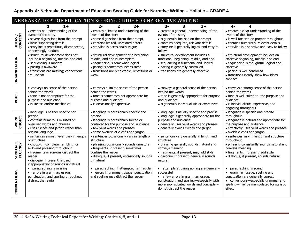|                             |                                                                                                                                                                                                                                                         | NEBRASKA DEPT OF EDUCATION SCORING GUIDE FOR NARRATIVE WRITING                                                                                                                                                              |                                                                                                                                                                                                                      |                                                                                                                                                                                                                        |
|-----------------------------|---------------------------------------------------------------------------------------------------------------------------------------------------------------------------------------------------------------------------------------------------------|-----------------------------------------------------------------------------------------------------------------------------------------------------------------------------------------------------------------------------|----------------------------------------------------------------------------------------------------------------------------------------------------------------------------------------------------------------------|------------------------------------------------------------------------------------------------------------------------------------------------------------------------------------------------------------------------|
|                             | $1+$<br>1                                                                                                                                                                                                                                               | $2 -$<br>$2+$<br>$\overline{2}$                                                                                                                                                                                             | $3-$<br>3<br>$3+$                                                                                                                                                                                                    | $4-$<br>4                                                                                                                                                                                                              |
| <b>IDEAS /<br/>CONTENT</b>  | • creates no understanding of the<br>events of the story<br>• severe digressions from the prompt<br>· lacks supporting details<br>· storyline is repetitious, disconnected,<br>or seemingly random                                                      | • creates a limited understanding of the<br>events of the story<br>• some digressions from the prompt<br>· contains limited, unrelated details<br>• storyline is occasionally vague                                         | • creates a general understanding of the<br>events of the story<br>• is generally focused on the prompt<br>· contains adequate, relevant details<br>• storyline is generally logical and easy to<br>follow           | • creates a clear understanding of the<br>events of the story<br>• is well-focused on prompt throughout<br>· contains numerous, relevant details<br>• storyline is distinctive and easy to follow                      |
| <b>ORGANIZATION</b>         | · structural development does not<br>include a beginning, middle, and end<br>• sequencing is random<br>· pacing is awkward<br>• transitions are missing; connections<br>are unclear                                                                     | • structural development of a beginning,<br>middle, and end is incomplete<br>• sequencing is somewhat logical<br>· pacing is sometimes inconsistent<br>· transitions are predictable, repetitious or<br>weak                | · structural development includes a<br>functional beginning, middle, and end<br>• sequencing is functional and logical<br>• pacing is generally controlled<br>• transitions are generally effective                  | · structural development includes an<br>effective beginning, middle, and end<br>• sequencing is thoughtful, logical and<br>effective<br>· pacing is well-controlled<br>• transitions clearly show how ideas<br>connect |
| VOICE                       | • conveys no sense of the person<br>behind the words<br>• tone is not appropriate for the<br>purpose and audience<br>· is lifeless and/or mechanical                                                                                                    | • conveys a limited sense of the person<br>behind the words<br>• tone is sometimes not appropriate for<br>purpose and audience<br>· is occasionally expressive                                                              | · conveys a general sense of the person<br>behind the words<br>• tone is generally appropriate for purpose<br>and audience<br>• is generally individualistic or expressive                                           | • conveys a strong sense of the person<br>behind the words<br>. tone is well-suited to the purpose and<br>audience<br>· is individualistic, expressive, and<br>engaging throughout                                     |
| WORD<br>CHOICE              | · language is neither specific nor<br>precise<br>· contains numerous misused or<br>overused words and phrases<br>· uses clichés and jargon rather than<br>original language                                                                             | · language is occasionally specific and<br>precise<br>· language is occasionally forced or<br>contrived for the purpose and audience<br>• few vivid words and phrases<br>· some overuse of clichés and jargon               | · language is usually specific and precise<br>· language is generally appropriate for the<br>purpose and audience<br>· generally uses vivid words and phrases<br>· generally avoids clichés and jargon               | · language is specific and precise<br>throughout<br>· language is natural and appropriate for<br>the purpose and audience<br>· effectively uses vivid words and phrases<br>· avoids clichés and jargon                 |
| <b>SENTENCE<br/>FLUENCY</b> | · sentences almost never vary in length<br>or structure<br>• choppy, incomplete, rambling, or<br>awkward phrasing throughout<br>• fragments or run-ons distract the<br>reader<br>· dialogue, if present, is used<br>inappropriately or sounds unnatural | · sentences occasionally vary in length or<br>structure<br>· phrasing occasionally sounds unnatural<br>• fragments, if present, sometimes<br>confuse the reader<br>· dialogue, if present, occasionally sounds<br>unnatural | • sentences vary generally in length and<br>structure<br>• phrasing generally sounds natural and<br>conveys meaning<br>• fragments, if present, may add style<br>· dialogue, if present, generally sounds<br>natural | • sentences vary in length and structure<br>throughout<br>· phrasing consistently sounds natural and<br>conveys meaning<br>• fragments, if present, add style<br>· dialogue, if present, sounds natural                |
| CONVENTIONS                 | paragraphing is missing<br>• errors in grammar, usage,<br>punctuation, and spelling throughout<br>distract the reader                                                                                                                                   | paragraphing, if attempted, is irregular<br>• errors in grammar, usage, punctuation,<br>and spelling may distract the reader                                                                                                | • attempts at paragraphing are generally<br>successful<br>• a few errors in grammar, usage,<br>punctuation, and spelling-especially with<br>more sophisticated words and concepts -<br>do not distract the reader    | paragraphing is sound<br>• grammar, usage, spelling and<br>punctuation are generally correct<br>• conventions-especially grammar and<br>spelling-may be manipulated for stylistic<br>effect                            |